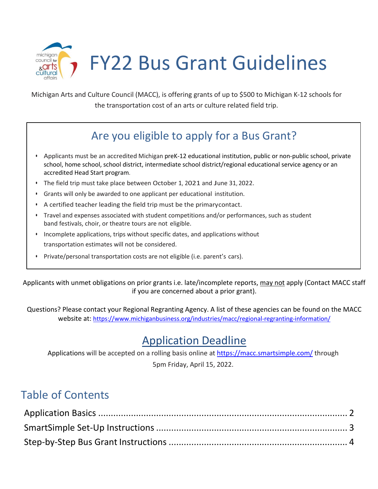

Michigan Arts and Culture Council (MACC), is offering grants of up to \$500 to Michigan K-12 schools for the transportation cost of an arts or culture related field trip.

# Are you eligible to apply for a Bus Grant?

- Applicants must be an accredited Michigan preK-12 educational institution, public or non-public school, private school, home school, school district, intermediate school district/regional educational service agency or an accredited Head Start program.
- The field trip must take place between October 1, 2021 and June 31, 2022.
- Grants will only be awarded to one applicant per educational institution.
- A certified teacher leading the field trip must be the primarycontact.
- Travel and expenses associated with student competitions and/or performances, such as student band festivals, choir, or theatre tours are not eligible.
- Incomplete applications, trips without specific dates, and applications without transportation estimates will not be considered.
- Private/personal transportation costs are not eligible (i.e. parent's cars).

Applicants with unmet obligations on prior grants i.e. late/incomplete reports, may not apply (Contact MACC staff if you are concerned about a prior grant).

Questions? Please contact your Regional Regranting Agency. A list of these agencies can be found on the MACC website at:<https://www.michiganbusiness.org/industries/macc/regional-regranting-information/>

## Application Deadline

Applications will be accepted on a rolling basis online at<https://macc.smartsimple.com/> through 5pm Friday, April 15, 2022.

## Table of Contents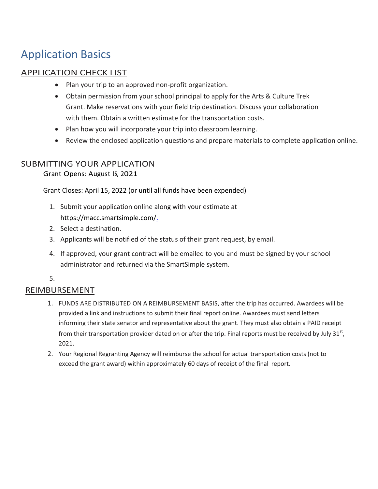## Application Basics

### APPLICATION CHECK LIST

- Plan your trip to an approved non-profit organization.
- Obtain permission from your school principal to apply for the Arts & Culture Trek Grant. Make reservations with your field trip destination. Discuss your collaboration with them. Obtain a written estimate for the transportation costs.
- Plan how you will incorporate your trip into classroom learning.
- Review the enclosed application questions and prepare materials to complete application online.

### SUBMITTING YOUR APPLICATION

Grant Opens: August 16, 2021

Grant Closes: April 15, 2022 (or until all funds have been expended)

- 1. Submit your application online along with your estimate at https://macc.smartsimple.com/.
- 2. Select a destination.
- 3. Applicants will be notified of the status of their grant request, by email.
- 4. If approved, your grant contract will be emailed to you and must be signed by your school administrator and returned via the SmartSimple system.

5.

### REIMBURSEMENT

- 1. FUNDS ARE DISTRIBUTED ON A REIMBURSEMENT BASIS, after the trip has occurred. Awardees will be provided a link and instructions to submit their final report online. Awardees must send letters informing their state senator and representative about the grant. They must also obtain a PAID receipt from their transportation provider dated on or after the trip. Final reports must be received by July 31 $^{\rm st}$ , 2021.
- 2. Your Regional Regranting Agency will reimburse the school for actual transportation costs (not to exceed the grant award) within approximately 60 days of receipt of the final report.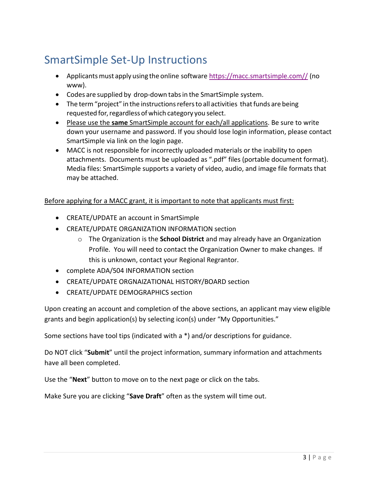# SmartSimple Set-Up Instructions

- Applicants must apply using the online software [https://macc.smartsimple.com//](https://macc.smartsimple.com/) (no www).
- Codes are supplied by drop-down tabsin the SmartSimple system.
- The term "project" in the instructions refers to all activities that funds are being requested for, regardless of which category you select.
- Please use the **same** SmartSimple account for each/all applications. Be sure to write down your username and password. If you should lose login information, please contact SmartSimple via link on the login page.
- MACC is not responsible for incorrectly uploaded materials or the inability to open attachments. Documents must be uploaded as ".pdf" files (portable document format). Media files: SmartSimple supports a variety of video, audio, and image file formats that may be attached.

#### Before applying for a MACC grant, it is important to note that applicants must first:

- CREATE/UPDATE an account in SmartSimple
- CREATE/UPDATE ORGANIZATION INFORMATION section
	- o The Organization is the **School District** and may already have an Organization Profile. You will need to contact the Organization Owner to make changes. If this is unknown, contact your Regional Regrantor.
- complete ADA/504 INFORMATION section
- CREATE/UPDATE ORGNAIZATIONAL HISTORY/BOARD section
- CREATE/UPDATE DEMOGRAPHICS section

Upon creating an account and completion of the above sections, an applicant may view eligible grants and begin application(s) by selecting icon(s) under "My Opportunities."

Some sections have tool tips (indicated with a \*) and/or descriptions for guidance.

Do NOT click "**Submit**" until the project information, summary information and attachments have all been completed.

Use the "**Next**" button to move on to the next page or click on the tabs.

Make Sure you are clicking "**Save Draft**" often as the system will time out.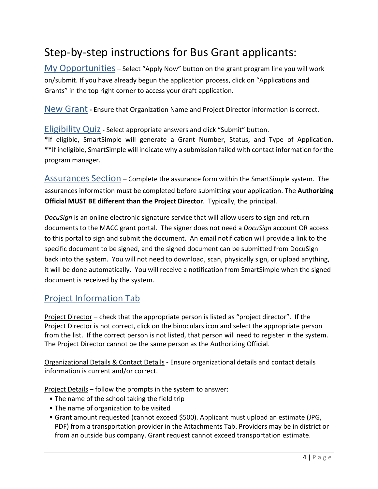# Step-by-step instructions for Bus Grant applicants:

My Opportunities – Select "Apply Now" button on the grant program line you will work on/submit. If you have already begun the application process, click on "Applications and Grants" in the top right corner to access your draft application.

New Grant **-** Ensure that Organization Name and Project Director information is correct.

Eligibility Quiz**-** Select appropriate answers and click "Submit" button. \*If eligible, SmartSimple will generate a Grant Number, Status, and Type of Application. \*\*If ineligible, SmartSimple will indicate why a submission failed with contact information for the program manager.

Assurances Section – Complete the assurance form within the SmartSimple system. The assurances information must be completed before submitting your application. The **Authorizing Official MUST BE different than the Project Director**. Typically, the principal.

*DocuSign* is an online electronic signature service that will allow users to sign and return documents to the MACC grant portal. The signer does not need a *DocuSign* account OR access to this portal to sign and submit the document. An email notification will provide a link to the specific document to be signed, and the signed document can be submitted from DocuSign back into the system. You will not need to download, scan, physically sign, or upload anything, it will be done automatically. You will receive a notification from SmartSimple when the signed document is received by the system.

### Project Information Tab

Project Director – check that the appropriate person is listed as "project director". If the Project Director is not correct, click on the binoculars icon and select the appropriate person from the list. If the correct person is not listed, that person will need to register in the system. The Project Director cannot be the same person as the Authorizing Official.

Organizational Details & Contact Details **-** Ensure organizational details and contact details information is current and/or correct.

Project Details – follow the prompts in the system to answer:

- The name of the school taking the field trip
- The name of organization to be visited
- Grant amount requested (cannot exceed \$500). Applicant must upload an estimate (JPG, PDF) from a transportation provider in the Attachments Tab. Providers may be in district or from an outside bus company. Grant request cannot exceed transportation estimate.